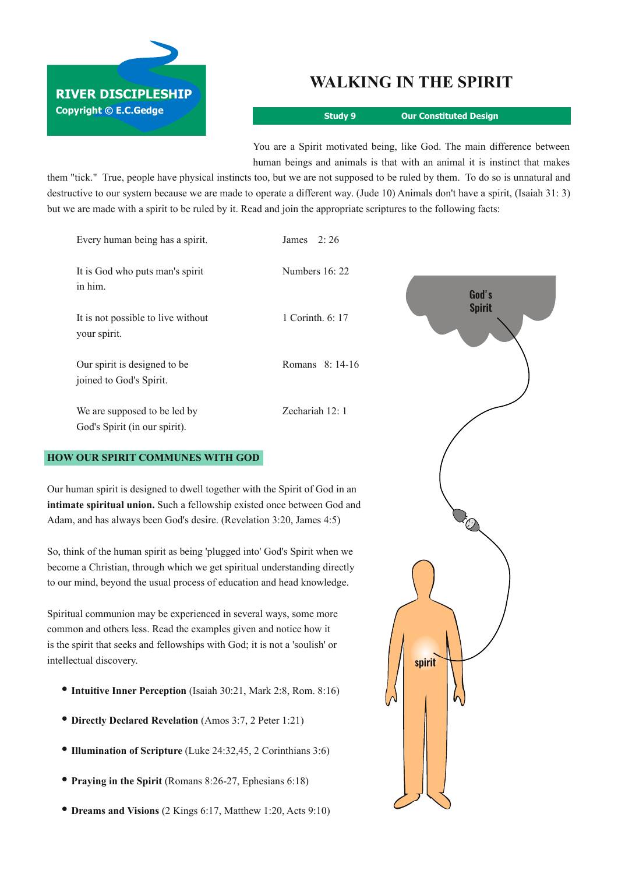## **WALKING IN THE SPIRIT**

**Copyright © E.C.Gedge**

**RIVER DISCIPLESHIP**

**Study 9 Our Constituted Design**

You are a Spirit motivated being, like God. The main difference between human beings and animals is that with an animal it is instinct that makes

them "tick." True, people have physical instincts too, but we are not supposed to be ruled by them. To do so is unnatural and destructive to our system because we are made to operate a different way. (Jude 10) Animals don't have a spirit, (Isaiah 31: 3) but we are made with a spirit to be ruled by it. Read and join the appropriate scriptures to the following facts:

| Every human being has a spirit.                               | James $2:26$     |               |
|---------------------------------------------------------------|------------------|---------------|
| It is God who puts man's spirit<br>in him.                    | Numbers 16: 22   | God's         |
| It is not possible to live without<br>your spirit.            | 1 Corinth. 6: 17 | <b>Spirit</b> |
| Our spirit is designed to be<br>joined to God's Spirit.       | Romans 8: 14-16  |               |
| We are supposed to be led by<br>God's Spirit (in our spirit). | Zechariah 12: 1  |               |

## **HOW OUR SPIRIT COMMUNES WITH GOD**

Our human spirit is designed to dwell together with the Spirit of God in an **intimate spiritual union.** Such a fellowship existed once between God and Adam, and has always been God's desire. (Revelation 3:20, James 4:5)

So, think of the human spirit as being 'plugged into' God's Spirit when we become a Christian, through which we get spiritual understanding directly to our mind, beyond the usual process of education and head knowledge.

Spiritual communion may be experienced in several ways, some more common and others less. Read the examples given and notice how it is the spirit that seeks and fellowships with God; it is not a 'soulish' or intellectual discovery.

- **• Intuitive Inner Perception** (Isaiah 30:21, Mark 2:8, Rom. 8:16)
- **• Directly Declared Revelation** (Amos 3:7, <sup>2</sup> Peter 1:21)
- **• Illumination of Scripture** (Luke 24:32,45, <sup>2</sup> Corinthians 3:6)
- **• Praying in the Spirit** (Romans 8:2627, Ephesians 6:18)
- **• Dreams and Visions** (2 Kings 6:17, Matthew 1:20, Acts 9:10)